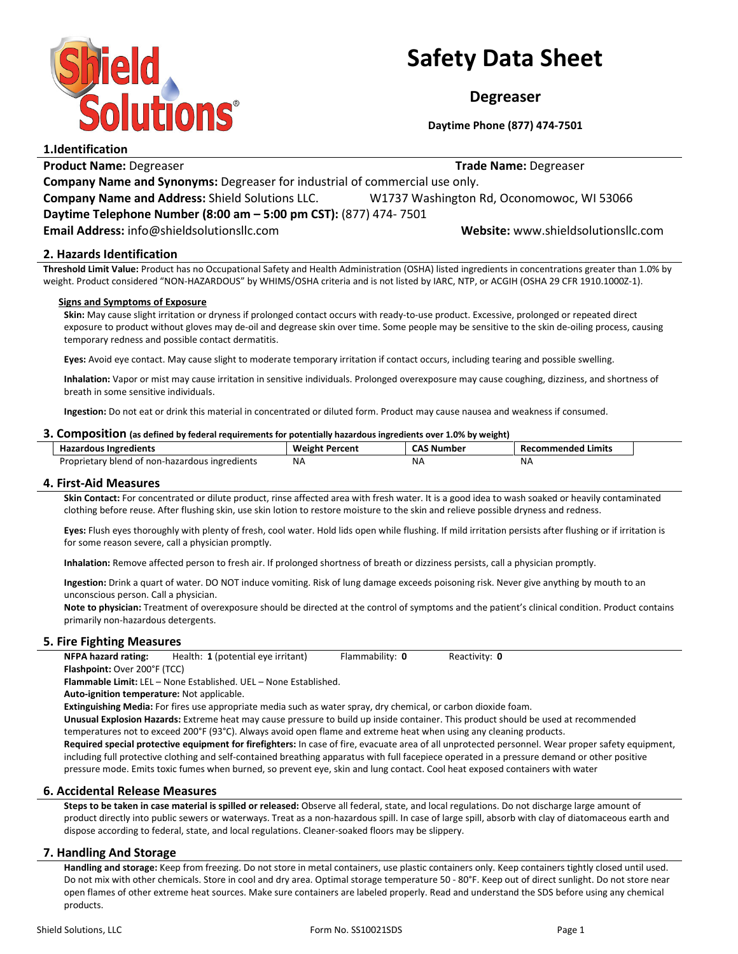

# Safety Data Sheet

Degreaser

Daytime Phone (877) 474-7501

| 1.IUCIILIILALIOII                                                           |                                           |  |
|-----------------------------------------------------------------------------|-------------------------------------------|--|
| <b>Product Name: Degreaser</b>                                              | <b>Trade Name: Degreaser</b>              |  |
| Company Name and Synonyms: Degreaser for industrial of commercial use only. |                                           |  |
| <b>Company Name and Address: Shield Solutions LLC.</b>                      | W1737 Washington Rd, Oconomowoc, WI 53066 |  |
| Daytime Telephone Number (8:00 am - 5:00 pm CST): (877) 474-7501            |                                           |  |
| Email Address: info@shieldsolutionsllc.com                                  | Website: www.shieldsolutionsllc.com       |  |
|                                                                             |                                           |  |

# 2. Hazards Identification

Threshold Limit Value: Product has no Occupational Safety and Health Administration (OSHA) listed ingredients in concentrations greater than 1.0% by weight. Product considered "NON-HAZARDOUS" by WHIMS/OSHA criteria and is not listed by IARC, NTP, or ACGIH (OSHA 29 CFR 1910.1000Z-1).

## Signs and Symptoms of Exposure

Skin: May cause slight irritation or dryness if prolonged contact occurs with ready-to-use product. Excessive, prolonged or repeated direct exposure to product without gloves may de-oil and degrease skin over time. Some people may be sensitive to the skin de-oiling process, causing temporary redness and possible contact dermatitis.

Eyes: Avoid eye contact. May cause slight to moderate temporary irritation if contact occurs, including tearing and possible swelling.

Inhalation: Vapor or mist may cause irritation in sensitive individuals. Prolonged overexposure may cause coughing, dizziness, and shortness of breath in some sensitive individuals.

Ingestion: Do not eat or drink this material in concentrated or diluted form. Product may cause nausea and weakness if consumed.

## 3. Composition (as defined by federal requirements for potentially hazardous ingredients over 1.0% by weight)

| <b>Hazardous Ingredients</b>                   | <b>Weight Percent</b> | <b>CAS Number</b> | Recommended Limits |
|------------------------------------------------|-----------------------|-------------------|--------------------|
| Proprietary blend of non-hazardous ingredients | <b>NA</b>             | N۵                | ΝA                 |

## 4. First-Aid Measures

Skin Contact: For concentrated or dilute product, rinse affected area with fresh water. It is a good idea to wash soaked or heavily contaminated clothing before reuse. After flushing skin, use skin lotion to restore moisture to the skin and relieve possible dryness and redness.

Eyes: Flush eyes thoroughly with plenty of fresh, cool water. Hold lids open while flushing. If mild irritation persists after flushing or if irritation is for some reason severe, call a physician promptly.

Inhalation: Remove affected person to fresh air. If prolonged shortness of breath or dizziness persists, call a physician promptly.

Ingestion: Drink a quart of water. DO NOT induce vomiting. Risk of lung damage exceeds poisoning risk. Never give anything by mouth to an unconscious person. Call a physician.

Note to physician: Treatment of overexposure should be directed at the control of symptoms and the patient's clinical condition. Product contains primarily non-hazardous detergents.

## 5. Fire Fighting Measures

NFPA hazard rating: Health: 1 (potential eye irritant) Flammability: 0 Reactivity: 0 Flashpoint: Over 200°F (TCC)

Flammable Limit: LEL – None Established. UEL – None Established.

Auto-ignition temperature: Not applicable.

Extinguishing Media: For fires use appropriate media such as water spray, dry chemical, or carbon dioxide foam.

Unusual Explosion Hazards: Extreme heat may cause pressure to build up inside container. This product should be used at recommended temperatures not to exceed 200°F (93°C). Always avoid open flame and extreme heat when using any cleaning products.

Required special protective equipment for firefighters: In case of fire, evacuate area of all unprotected personnel. Wear proper safety equipment, including full protective clothing and self-contained breathing apparatus with full facepiece operated in a pressure demand or other positive pressure mode. Emits toxic fumes when burned, so prevent eye, skin and lung contact. Cool heat exposed containers with water

## 6. Accidental Release Measures

Steps to be taken in case material is spilled or released: Observe all federal, state, and local regulations. Do not discharge large amount of product directly into public sewers or waterways. Treat as a non-hazardous spill. In case of large spill, absorb with clay of diatomaceous earth and dispose according to federal, state, and local regulations. Cleaner-soaked floors may be slippery.

## 7. Handling And Storage

Handling and storage: Keep from freezing. Do not store in metal containers, use plastic containers only. Keep containers tightly closed until used. Do not mix with other chemicals. Store in cool and dry area. Optimal storage temperature 50 - 80°F. Keep out of direct sunlight. Do not store near open flames of other extreme heat sources. Make sure containers are labeled properly. Read and understand the SDS before using any chemical products.